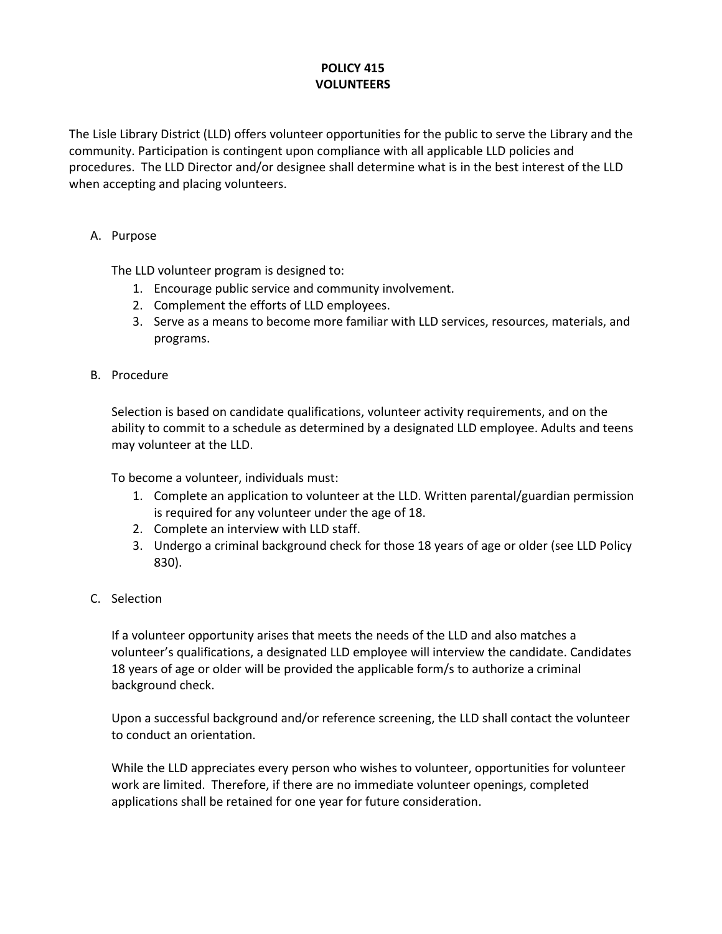## **POLICY 415 VOLUNTEERS**

The Lisle Library District (LLD) offers volunteer opportunities for the public to serve the Library and the community. Participation is contingent upon compliance with all applicable LLD policies and procedures. The LLD Director and/or designee shall determine what is in the best interest of the LLD when accepting and placing volunteers.

## A. Purpose

The LLD volunteer program is designed to:

- 1. Encourage public service and community involvement.
- 2. Complement the efforts of LLD employees.
- 3. Serve as a means to become more familiar with LLD services, resources, materials, and programs.
- B. Procedure

Selection is based on candidate qualifications, volunteer activity requirements, and on the ability to commit to a schedule as determined by a designated LLD employee. Adults and teens may volunteer at the LLD.

To become a volunteer, individuals must:

- 1. Complete an application to volunteer at the LLD. Written parental/guardian permission is required for any volunteer under the age of 18.
- 2. Complete an interview with LLD staff.
- 3. Undergo a criminal background check for those 18 years of age or older (see LLD Policy 830).
- C. Selection

If a volunteer opportunity arises that meets the needs of the LLD and also matches a volunteer's qualifications, a designated LLD employee will interview the candidate. Candidates 18 years of age or older will be provided the applicable form/s to authorize a criminal background check.

Upon a successful background and/or reference screening, the LLD shall contact the volunteer to conduct an orientation.

While the LLD appreciates every person who wishes to volunteer, opportunities for volunteer work are limited. Therefore, if there are no immediate volunteer openings, completed applications shall be retained for one year for future consideration.